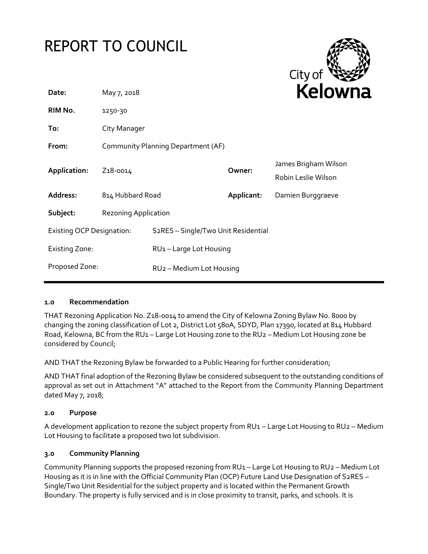# REPORT TO COUNCIL



| Date:                            | May 7, 2018                        |                                                  |            | <b>Kelown</b>                               |
|----------------------------------|------------------------------------|--------------------------------------------------|------------|---------------------------------------------|
| RIM No.                          | 1250-30                            |                                                  |            |                                             |
| To:                              | City Manager                       |                                                  |            |                                             |
| From:                            | Community Planning Department (AF) |                                                  |            |                                             |
| Application:                     | Z <sub>1</sub> 8-0014              |                                                  | Owner:     | James Brigham Wilson<br>Robin Leslie Wilson |
| Address:                         | 814 Hubbard Road                   |                                                  | Applicant: | Damien Burggraeve                           |
| Subject:                         | <b>Rezoning Application</b>        |                                                  |            |                                             |
| <b>Existing OCP Designation:</b> |                                    | S <sub>2</sub> RES - Single/Two Unit Residential |            |                                             |
| <b>Existing Zone:</b>            |                                    | RU1-Large Lot Housing                            |            |                                             |
| Proposed Zone:                   |                                    | RU <sub>2</sub> - Medium Lot Housing             |            |                                             |
|                                  |                                    |                                                  |            |                                             |

# **1.0 Recommendation**

THAT Rezoning Application No. Z18-0014 to amend the City of Kelowna Zoning Bylaw No. 8000 by changing the zoning classification of Lot 2, District Lot 580A, SDYD, Plan 17390, located at 814 Hubbard Road, Kelowna, BC from the RU1 – Large Lot Housing zone to the RU2 – Medium Lot Housing zone be considered by Council;

AND THAT the Rezoning Bylaw be forwarded to a Public Hearing for further consideration;

AND THAT final adoption of the Rezoning Bylaw be considered subsequent to the outstanding conditions of approval as set out in Attachment "A" attached to the Report from the Community Planning Department dated May 7, 2018;

### **2.0 Purpose**

A development application to rezone the subject property from RU1 – Large Lot Housing to RU2 – Medium Lot Housing to facilitate a proposed two lot subdivision.

### **3.0 Community Planning**

Community Planning supports the proposed rezoning from RU1 – Large Lot Housing to RU2 – Medium Lot Housing as it is in line with the Official Community Plan (OCP) Future Land Use Designation of S2RES – Single/Two Unit Residential for the subject property and is located within the Permanent Growth Boundary. The property is fully serviced and is in close proximity to transit, parks, and schools. It is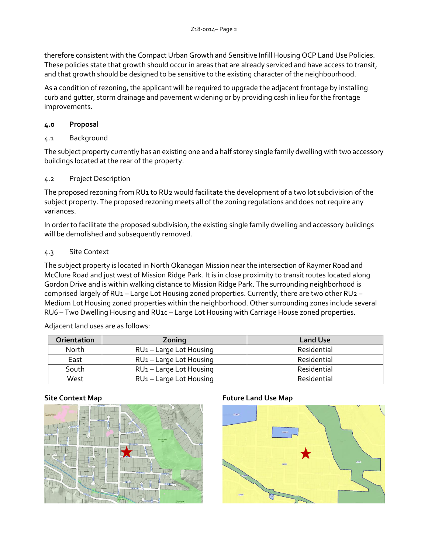therefore consistent with the Compact Urban Growth and Sensitive Infill Housing OCP Land Use Policies. These policies state that growth should occur in areas that are already serviced and have access to transit, and that growth should be designed to be sensitive to the existing character of the neighbourhood.

As a condition of rezoning, the applicant will be required to upgrade the adjacent frontage by installing curb and gutter, storm drainage and pavement widening or by providing cash in lieu for the frontage improvements.

# **4.0 Proposal**

# 4.1 Background

The subject property currently has an existing one and a half storey single family dwelling with two accessory buildings located at the rear of the property.

# 4.2 Project Description

The proposed rezoning from RU1 to RU2 would facilitate the development of a two lot subdivision of the subject property. The proposed rezoning meets all of the zoning regulations and does not require any variances.

In order to facilitate the proposed subdivision, the existing single family dwelling and accessory buildings will be demolished and subsequently removed.

# 4.3 Site Context

The subject property is located in North Okanagan Mission near the intersection of Raymer Road and McClure Road and just west of Mission Ridge Park. It is in close proximity to transit routes located along Gordon Drive and is within walking distance to Mission Ridge Park. The surrounding neighborhood is comprised largely of RU1 – Large Lot Housing zoned properties. Currently, there are two other RU2 – Medium Lot Housing zoned properties within the neighborhood. Other surrounding zones include several RU6 – Two Dwelling Housing and RU1c – Large Lot Housing with Carriage House zoned properties.

Adjacent land uses are as follows:

| <b>Orientation</b> | Zoning                              | <b>Land Use</b> |
|--------------------|-------------------------------------|-----------------|
| North              | RU1-Large Lot Housing               | Residential     |
| East               | RU1-Large Lot Housing               | Residential     |
| South              | RU1-Large Lot Housing               | Residential     |
| West               | RU <sub>1</sub> - Large Lot Housing | Residential     |



# **Site Context Map Future Land Use Map**

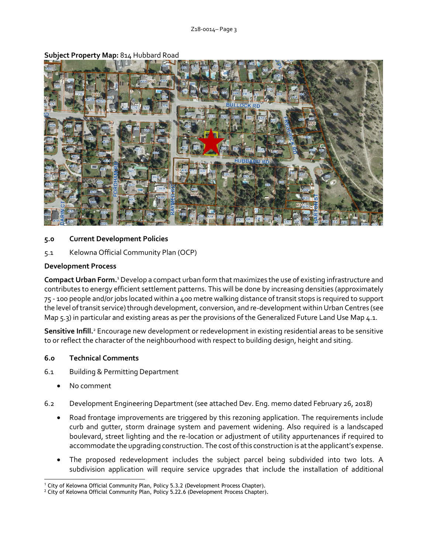

**Subject Property Map:** 814 Hubbard Road

## **5.0 Current Development Policies**

5.1 Kelowna Official Community Plan (OCP)

## **Development Process**

**Compact Urban Form.**<sup>1</sup>Develop a compact urban form that maximizes the use of existing infrastructure and contributes to energy efficient settlement patterns. This will be done by increasing densities (approximately 75 - 100 people and/or jobs located within a 400 metre walking distance of transit stops is required to support the level of transit service) through development, conversion, and re-development within Urban Centres (see Map 5.3) in particular and existing areas as per the provisions of the Generalized Future Land Use Map 4.1.

**Sensitive Infill.**<sup>2</sup> Encourage new development or redevelopment in existing residential areas to be sensitive to or reflect the character of the neighbourhood with respect to building design, height and siting.

### **6.0 Technical Comments**

- 6.1 Building & Permitting Department
	- No comment
- 6.2 Development Engineering Department (see attached Dev. Eng. memo dated February 26, 2018)
	- Road frontage improvements are triggered by this rezoning application. The requirements include curb and gutter, storm drainage system and pavement widening. Also required is a landscaped boulevard, street lighting and the re-location or adjustment of utility appurtenances if required to accommodate the upgrading construction. The cost of this construction is at the applicant's expense.
	- The proposed redevelopment includes the subject parcel being subdivided into two lots. A subdivision application will require service upgrades that include the installation of additional

<sup>-</sup><sup>1</sup> City of Kelowna Official Community Plan, Policy 5.3.2 (Development Process Chapter).

<sup>&</sup>lt;sup>2</sup> City of Kelowna Official Community Plan, Policy 5.22.6 (Development Process Chapter).